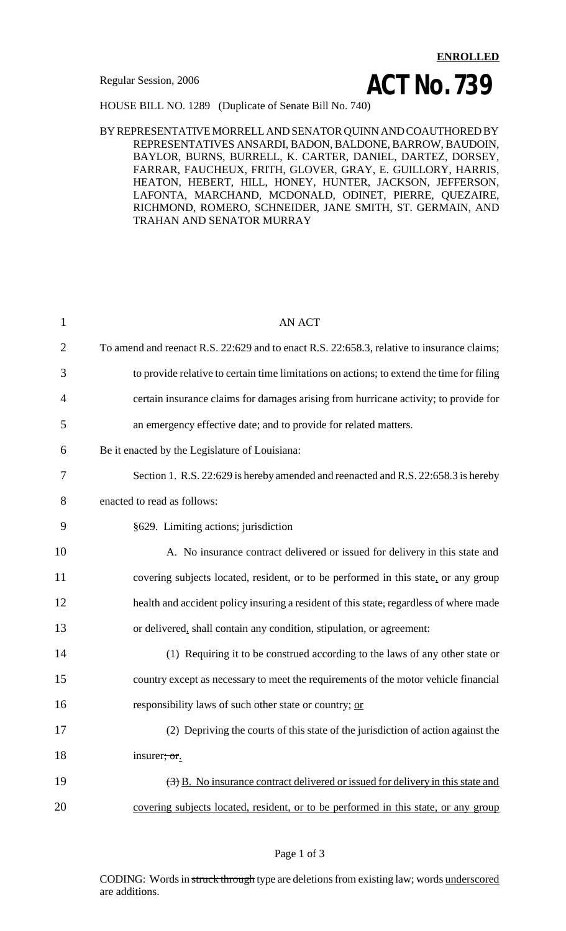# **ENROLLED Regular Session, 2006 ACT No. 739**

HOUSE BILL NO. 1289 (Duplicate of Senate Bill No. 740)

### BY REPRESENTATIVE MORRELL AND SENATOR QUINN AND COAUTHORED BY REPRESENTATIVES ANSARDI, BADON, BALDONE, BARROW, BAUDOIN, BAYLOR, BURNS, BURRELL, K. CARTER, DANIEL, DARTEZ, DORSEY, FARRAR, FAUCHEUX, FRITH, GLOVER, GRAY, E. GUILLORY, HARRIS, HEATON, HEBERT, HILL, HONEY, HUNTER, JACKSON, JEFFERSON, LAFONTA, MARCHAND, MCDONALD, ODINET, PIERRE, QUEZAIRE, RICHMOND, ROMERO, SCHNEIDER, JANE SMITH, ST. GERMAIN, AND TRAHAN AND SENATOR MURRAY

| $\mathbf{1}$   | <b>AN ACT</b>                                                                                          |
|----------------|--------------------------------------------------------------------------------------------------------|
| $\overline{2}$ | To amend and reenact R.S. 22:629 and to enact R.S. 22:658.3, relative to insurance claims;             |
| 3              | to provide relative to certain time limitations on actions; to extend the time for filing              |
| 4              | certain insurance claims for damages arising from hurricane activity; to provide for                   |
| 5              | an emergency effective date; and to provide for related matters.                                       |
| 6              | Be it enacted by the Legislature of Louisiana:                                                         |
| 7              | Section 1. R.S. 22:629 is hereby amended and reenacted and R.S. 22:658.3 is hereby                     |
| 8              | enacted to read as follows:                                                                            |
| 9              | §629. Limiting actions; jurisdiction                                                                   |
| 10             | A. No insurance contract delivered or issued for delivery in this state and                            |
| 11             | covering subjects located, resident, or to be performed in this state, or any group                    |
| 12             | health and accident policy insuring a resident of this state, regardless of where made                 |
| 13             | or delivered, shall contain any condition, stipulation, or agreement:                                  |
| 14             | (1) Requiring it to be construed according to the laws of any other state or                           |
| 15             | country except as necessary to meet the requirements of the motor vehicle financial                    |
| 16             | responsibility laws of such other state or country; or                                                 |
| 17             | (2) Depriving the courts of this state of the jurisdiction of action against the                       |
| 18             | insurer, or.                                                                                           |
| 19             | $\left(\frac{1}{2}\right)$ B. No insurance contract delivered or issued for delivery in this state and |
| 20             | covering subjects located, resident, or to be performed in this state, or any group                    |

### Page 1 of 3

CODING: Words in struck through type are deletions from existing law; words underscored are additions.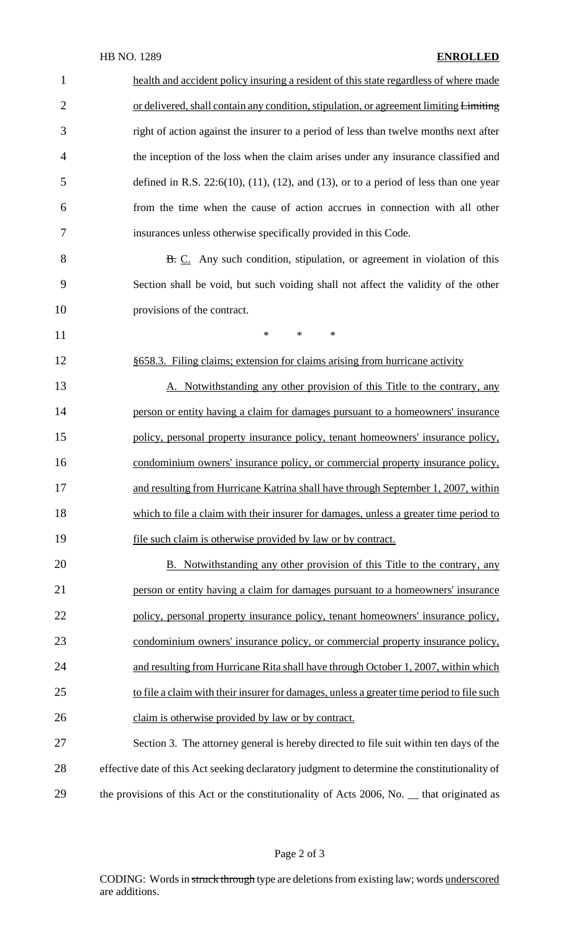| $\mathbf{1}$   | health and accident policy insuring a resident of this state regardless of where made            |
|----------------|--------------------------------------------------------------------------------------------------|
| $\overline{2}$ | or delivered, shall contain any condition, stipulation, or agreement limiting Limiting           |
| 3              | right of action against the insurer to a period of less than twelve months next after            |
| $\overline{4}$ | the inception of the loss when the claim arises under any insurance classified and               |
| 5              | defined in R.S. $22:6(10)$ , $(11)$ , $(12)$ , and $(13)$ , or to a period of less than one year |
| 6              | from the time when the cause of action accrues in connection with all other                      |
| 7              | insurances unless otherwise specifically provided in this Code.                                  |
| 8              | <b>B.</b> C. Any such condition, stipulation, or agreement in violation of this                  |
| 9              | Section shall be void, but such voiding shall not affect the validity of the other               |
| 10             | provisions of the contract.                                                                      |
| 11             | $\ast$<br>$\ast$<br>$\ast$                                                                       |
| 12             | §658.3. Filing claims; extension for claims arising from hurricane activity                      |
| 13             | A. Notwithstanding any other provision of this Title to the contrary, any                        |
| 14             | person or entity having a claim for damages pursuant to a homeowners' insurance                  |
| 15             | policy, personal property insurance policy, tenant homeowners' insurance policy,                 |
| 16             | condominium owners' insurance policy, or commercial property insurance policy,                   |
| 17             | and resulting from Hurricane Katrina shall have through September 1, 2007, within                |
| 18             | which to file a claim with their insurer for damages, unless a greater time period to            |
| 19             | file such claim is otherwise provided by law or by contract.                                     |
| 20             | <b>B.</b> Notwithstanding any other provision of this Title to the contrary, any                 |
| 21             | person or entity having a claim for damages pursuant to a homeowners' insurance                  |
| 22             | policy, personal property insurance policy, tenant homeowners' insurance policy,                 |
| 23             | condominium owners' insurance policy, or commercial property insurance policy,                   |
| 24             | and resulting from Hurricane Rita shall have through October 1, 2007, within which               |
| 25             | to file a claim with their insurer for damages, unless a greater time period to file such        |
| 26             | claim is otherwise provided by law or by contract.                                               |
| 27             | Section 3. The attorney general is hereby directed to file suit within ten days of the           |
| 28             | effective date of this Act seeking declaratory judgment to determine the constitutionality of    |
| 29             | the provisions of this Act or the constitutionality of Acts 2006, No. __ that originated as      |

# Page 2 of 3

CODING: Words in struck through type are deletions from existing law; words underscored are additions.